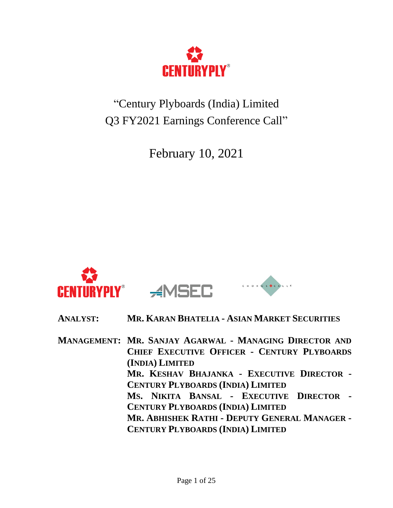

"Century Plyboards (India) Limited Q3 FY2021 Earnings Conference Call"

February 10, 2021



| <b>ANALYST:</b> |  | MR. KARAN BHATELIA - ASIAN MARKET SECURITIES |
|-----------------|--|----------------------------------------------|
|-----------------|--|----------------------------------------------|

**MANAGEMENT: MR. SANJAY AGARWAL - MANAGING DIRECTOR AND CHIEF EXECUTIVE OFFICER - CENTURY PLYBOARDS (INDIA) LIMITED MR. KESHAV BHAJANKA - EXECUTIVE DIRECTOR - CENTURY PLYBOARDS (INDIA) LIMITED MS. NIKITA BANSAL - EXECUTIVE DIRECTOR - CENTURY PLYBOARDS (INDIA) LIMITED MR. ABHISHEK RATHI - DEPUTY GENERAL MANAGER - CENTURY PLYBOARDS (INDIA) LIMITED**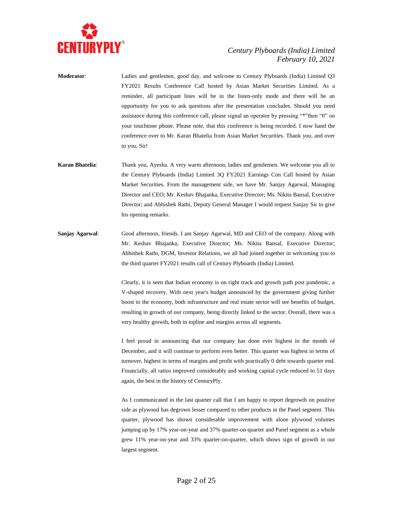

- **Moderator**: Ladies and gentlemen, good day, and welcome to Century Plyboards (India) Limited Q3 FY2021 Results Conference Call hosted by Asian Market Securities Limited. As a reminder, all participant lines will be in the listen-only mode and there will be an opportunity for you to ask questions after the presentation concludes. Should you need assistance during this conference call, please signal an operator by pressing "\*"then "0" on your touchtone phone. Please note, that this conference is being recorded. I now hand the conference over to Mr. Karan Bhatelia from Asian Market Securities. Thank you, and over to you, Sir!
- **Karan Bhatelia**: Thank you, Ayesha. A very warm afternoon, ladies and gentlemen. We welcome you all to the Century Plyboards (India) Limited 3Q FY2021 Earnings Con Call hosted by Asian Market Securities. From the management side, we have Mr. Sanjay Agarwal, Managing Director and CEO; Mr. Keshav Bhajanka, Executive Director; Ms. Nikita Bansal, Executive Director; and Abhishek Rathi, Deputy General Manager I would request Sanjay Sir to give his opening remarks.
- **Sanjay Agarwal**: Good afternoon, friends. I am Sanjay Agarwal, MD and CEO of the company. Along with Mr. Keshav Bhajanka, Executive Director; Ms. Nikita Bansal, Executive Director; Abhishek Rathi, DGM, Investor Relations, we all had joined together in welcoming you to the third quarter FY2021 results call of Century Plyboards (India) Limited.

Clearly, it is seen that Indian economy is on right track and growth path post pandemic, a V-shaped recovery. With next year's budget announced by the government giving further boost to the economy, both infrastructure and real estate sector will see benefits of budget, resulting in growth of our company, being directly linked to the sector. Overall, there was a very healthy growth, both in topline and margins across all segments.

I feel proud in announcing that our company has done ever highest in the month of December, and it will continue to perform even better. This quarter was highest in terms of turnover, highest in terms of margins and profit with practically 0 debt towards quarter end. Financially, all ratios improved considerably and working capital cycle reduced to 51 days again, the best in the history of CenturyPly.

As I communicated in the last quarter call that I am happy to report degrowth on positive side as plywood has degrown lesser compared to other products in the Panel segment. This quarter, plywood has shown considerable improvement with alone plywood volumes jumping up by 17% year-on-year and 37% quarter-on-quarter and Panel segment as a whole grew 11% year-on-year and 33% quarter-on-quarter, which shows sign of growth in our largest segment.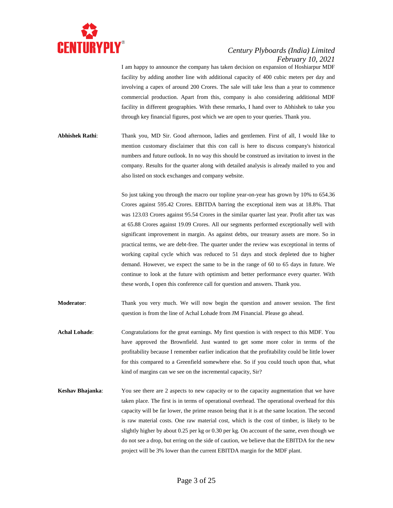

I am happy to announce the company has taken decision on expansion of Hoshiarpur MDF facility by adding another line with additional capacity of 400 cubic meters per day and involving a capex of around 200 Crores. The sale will take less than a year to commence commercial production. Apart from this, company is also considering additional MDF facility in different geographies. With these remarks, I hand over to Abhishek to take you through key financial figures, post which we are open to your queries. Thank you.

**Abhishek Rathi**: Thank you, MD Sir. Good afternoon, ladies and gentlemen. First of all, I would like to mention customary disclaimer that this con call is here to discuss company's historical numbers and future outlook. In no way this should be construed as invitation to invest in the company. Results for the quarter along with detailed analysis is already mailed to you and also listed on stock exchanges and company website.

> So just taking you through the macro our topline year-on-year has grown by 10% to 654.36 Crores against 595.42 Crores. EBITDA barring the exceptional item was at 18.8%. That was 123.03 Crores against 95.54 Crores in the similar quarter last year. Profit after tax was at 65.88 Crores against 19.09 Crores. All our segments performed exceptionally well with significant improvement in margin. As against debts, our treasury assets are more. So in practical terms, we are debt-free. The quarter under the review was exceptional in terms of working capital cycle which was reduced to 51 days and stock depleted due to higher demand. However, we expect the same to be in the range of 60 to 65 days in future. We continue to look at the future with optimism and better performance every quarter. With these words, I open this conference call for question and answers. Thank you.

- **Moderator**: Thank you very much. We will now begin the question and answer session. The first question is from the line of Achal Lohade from JM Financial. Please go ahead.
- **Achal Lohade**: Congratulations for the great earnings. My first question is with respect to this MDF. You have approved the Brownfield. Just wanted to get some more color in terms of the profitability because I remember earlier indication that the profitability could be little lower for this compared to a Greenfield somewhere else. So if you could touch upon that, what kind of margins can we see on the incremental capacity, Sir?
- **Keshav Bhajanka**: You see there are 2 aspects to new capacity or to the capacity augmentation that we have taken place. The first is in terms of operational overhead. The operational overhead for this capacity will be far lower, the prime reason being that it is at the same location. The second is raw material costs. One raw material cost, which is the cost of timber, is likely to be slightly higher by about 0.25 per kg or 0.30 per kg. On account of the same, even though we do not see a drop, but erring on the side of caution, we believe that the EBITDA for the new project will be 3% lower than the current EBITDA margin for the MDF plant.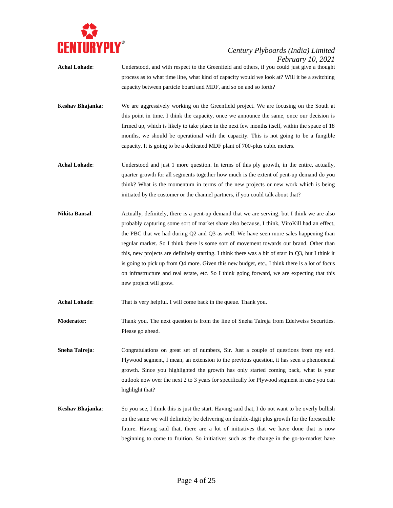

- **Achal Lohade**: Understood, and with respect to the Greenfield and others, if you could just give a thought process as to what time line, what kind of capacity would we look at? Will it be a switching capacity between particle board and MDF, and so on and so forth?
- **Keshav Bhajanka**: We are aggressively working on the Greenfield project. We are focusing on the South at this point in time. I think the capacity, once we announce the same, once our decision is firmed up, which is likely to take place in the next few months itself, within the space of 18 months, we should be operational with the capacity. This is not going to be a fungible capacity. It is going to be a dedicated MDF plant of 700-plus cubic meters.
- **Achal Lohade**: Understood and just 1 more question. In terms of this ply growth, in the entire, actually, quarter growth for all segments together how much is the extent of pent-up demand do you think? What is the momentum in terms of the new projects or new work which is being initiated by the customer or the channel partners, if you could talk about that?
- **Nikita Bansal:** Actually, definitely, there is a pent-up demand that we are serving, but I think we are also probably capturing some sort of market share also because, I think, ViroKill had an effect, the PBC that we had during Q2 and Q3 as well. We have seen more sales happening than regular market. So I think there is some sort of movement towards our brand. Other than this, new projects are definitely starting. I think there was a bit of start in Q3, but I think it is going to pick up from Q4 more. Given this new budget, etc., I think there is a lot of focus on infrastructure and real estate, etc. So I think going forward, we are expecting that this new project will grow.

Achal Lohade: That is very helpful. I will come back in the queue. Thank you.

**Moderator:** Thank you. The next question is from the line of Sneha Talreja from Edelweiss Securities. Please go ahead.

**Sneha Talreja:** Congratulations on great set of numbers, Sir. Just a couple of questions from my end. Plywood segment, I mean, an extension to the previous question, it has seen a phenomenal growth. Since you highlighted the growth has only started coming back, what is your outlook now over the next 2 to 3 years for specifically for Plywood segment in case you can highlight that?

**Keshav Bhajanka**: So you see, I think this is just the start. Having said that, I do not want to be overly bullish on the same we will definitely be delivering on double-digit plus growth for the foreseeable future. Having said that, there are a lot of initiatives that we have done that is now beginning to come to fruition. So initiatives such as the change in the go-to-market have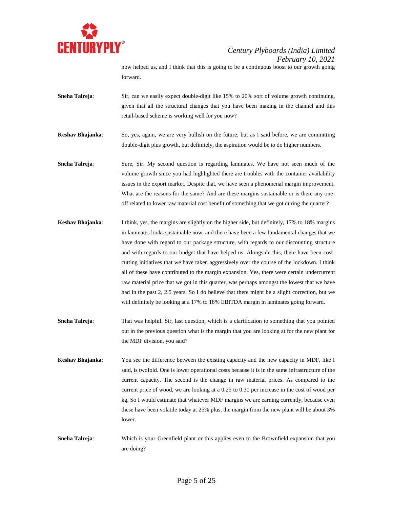

now helped us, and I think that this is going to be a continuous boost to our growth going forward.

- **Sneha Talreja:** Sir, can we easily expect double-digit like 15% to 20% sort of volume growth continuing, given that all the structural changes that you have been making in the channel and this retail-based scheme is working well for you now?
- **Keshav Bhajanka**: So, yes, again, we are very bullish on the future, but as I said before, we are committing double-digit plus growth, but definitely, the aspiration would be to do higher numbers.
- **Sneha Talreja:** Sure, Sir. My second question is regarding laminates. We have not seen much of the volume growth since you had highlighted there are troubles with the container availability issues in the export market. Despite that, we have seen a phenomenal margin improvement. What are the reasons for the same? And are these margins sustainable or is there any oneoff related to lower raw material cost benefit of something that we got during the quarter?
- **Keshav Bhajanka**: I think, yes, the margins are slightly on the higher side, but definitely, 17% to 18% margins in laminates looks sustainable now, and there have been a few fundamental changes that we have done with regard to our package structure, with regards to our discounting structure and with regards to our budget that have helped us. Alongside this, there have been costcutting initiatives that we have taken aggressively over the course of the lockdown. I think all of these have contributed to the margin expansion. Yes, there were certain undercurrent raw material price that we got in this quarter, was perhaps amongst the lowest that we have had in the past 2, 2.5 years. So I do believe that there might be a slight correction, but we will definitely be looking at a 17% to 18% EBITDA margin in laminates going forward.
- **Sneha Talreja:** That was helpful. Sir, last question, which is a clarification to something that you pointed out in the previous question what is the margin that you are looking at for the new plant for the MDF division, you said?
- **Keshav Bhajanka**: You see the difference between the existing capacity and the new capacity in MDF, like I said, is twofold. One is lower operational costs because it is in the same infrastructure of the current capacity. The second is the change in raw material prices. As compared to the current price of wood, we are looking at a 0.25 to 0.30 per increase in the cost of wood per kg. So I would estimate that whatever MDF margins we are earning currently, because even these have been volatile today at 25% plus, the margin from the new plant will be about 3% lower.
- **Sneha Talreja:** Which is your Greenfield plant or this applies even to the Brownfield expansion that you are doing?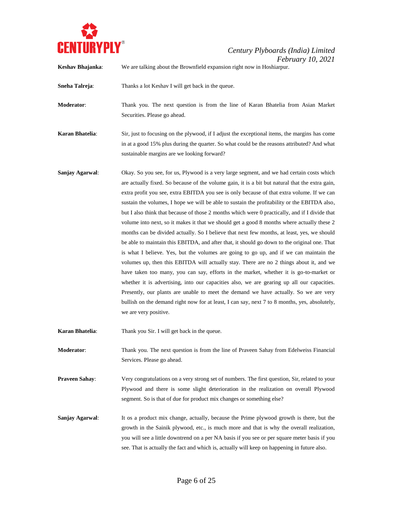

**Keshav Bhajanka**: We are talking about the Brownfield expansion right now in Hoshiarpur.

**Sneha Talreja:** Thanks a lot Keshav I will get back in the queue.

**Moderator**: Thank you. The next question is from the line of Karan Bhatelia from Asian Market Securities. Please go ahead.

**Karan Bhatelia:** Sir, just to focusing on the plywood, if I adjust the exceptional items, the margins has come in at a good 15% plus during the quarter. So what could be the reasons attributed? And what sustainable margins are we looking forward?

**Sanjay Agarwal**: Okay. So you see, for us, Plywood is a very large segment, and we had certain costs which are actually fixed. So because of the volume gain, it is a bit but natural that the extra gain, extra profit you see, extra EBITDA you see is only because of that extra volume. If we can sustain the volumes, I hope we will be able to sustain the profitability or the EBITDA also, but I also think that because of those 2 months which were 0 practically, and if I divide that volume into next, so it makes it that we should get a good 8 months where actually these 2 months can be divided actually. So I believe that next few months, at least, yes, we should be able to maintain this EBITDA, and after that, it should go down to the original one. That is what I believe. Yes, but the volumes are going to go up, and if we can maintain the volumes up, then this EBITDA will actually stay. There are no 2 things about it, and we have taken too many, you can say, efforts in the market, whether it is go-to-market or whether it is advertising, into our capacities also, we are gearing up all our capacities. Presently, our plants are unable to meet the demand we have actually. So we are very bullish on the demand right now for at least, I can say, next 7 to 8 months, yes, absolutely, we are very positive.

**Karan Bhatelia:** Thank you Sir. I will get back in the queue.

**Moderator**: Thank you. The next question is from the line of Praveen Sahay from Edelweiss Financial Services. Please go ahead.

**Praveen Sahay:** Very congratulations on a very strong set of numbers. The first question, Sir, related to your Plywood and there is some slight deterioration in the realization on overall Plywood segment. So is that of due for product mix changes or something else?

**Sanjay Agarwal:** It os a product mix change, actually, because the Prime plywood growth is there, but the growth in the Sainik plywood, etc., is much more and that is why the overall realization, you will see a little downtrend on a per NA basis if you see or per square meter basis if you see. That is actually the fact and which is, actually will keep on happening in future also.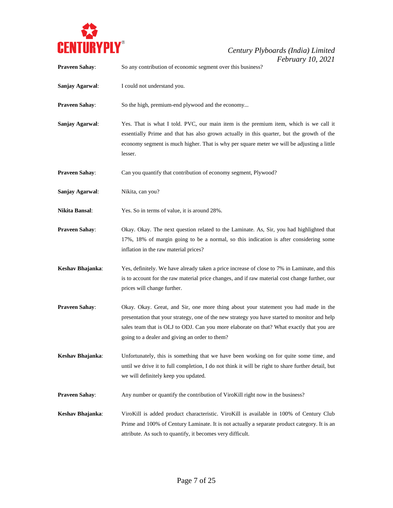

**Praveen Sahay:** So any contribution of economic segment over this business?

**Sanjay Agarwal**: I could not understand you.

**Praveen Sahay:** So the high, premium-end plywood and the economy...

**Sanjay Agarwal**: Yes. That is what I told. PVC, our main item is the premium item, which is we call it essentially Prime and that has also grown actually in this quarter, but the growth of the economy segment is much higher. That is why per square meter we will be adjusting a little lesser.

**Praveen Sahay:** Can you quantify that contribution of economy segment, Plywood?

- **Sanjay Agarwal:** Nikita, can you?
- **Nikita Bansal**: Yes. So in terms of value, it is around 28%.
- **Praveen Sahay**: Okay. Okay. The next question related to the Laminate. As, Sir, you had highlighted that 17%, 18% of margin going to be a normal, so this indication is after considering some inflation in the raw material prices?
- **Keshav Bhajanka**: Yes, definitely. We have already taken a price increase of close to 7% in Laminate, and this is to account for the raw material price changes, and if raw material cost change further, our prices will change further.
- **Praveen Sahay**: Okay. Okay. Great, and Sir, one more thing about your statement you had made in the presentation that your strategy, one of the new strategy you have started to monitor and help sales team that is OLJ to ODJ. Can you more elaborate on that? What exactly that you are going to a dealer and giving an order to them?
- **Keshav Bhajanka**: Unfortunately, this is something that we have been working on for quite some time, and until we drive it to full completion, I do not think it will be right to share further detail, but we will definitely keep you updated.
- **Praveen Sahay:** Any number or quantify the contribution of ViroKill right now in the business?
- **Keshav Bhajanka**: ViroKill is added product characteristic. ViroKill is available in 100% of Century Club Prime and 100% of Century Laminate. It is not actually a separate product category. It is an attribute. As such to quantify, it becomes very difficult.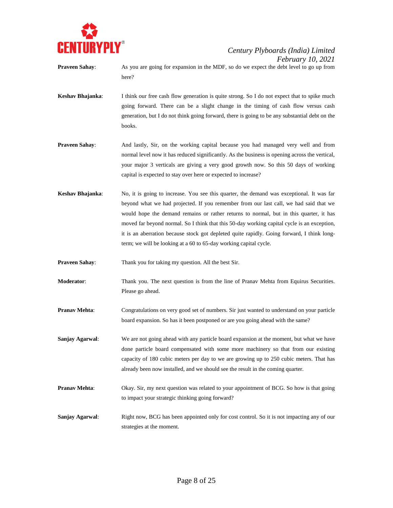

**Praveen Sahay:** As you are going for expansion in the MDF, so do we expect the debt level to go up from here?

**Keshav Bhajanka:** I think our free cash flow generation is quite strong. So I do not expect that to spike much going forward. There can be a slight change in the timing of cash flow versus cash generation, but I do not think going forward, there is going to be any substantial debt on the books.

**Praveen Sahay**: And lastly, Sir, on the working capital because you had managed very well and from normal level now it has reduced significantly. As the business is opening across the vertical, your major 3 verticals are giving a very good growth now. So this 50 days of working capital is expected to stay over here or expected to increase?

**Keshav Bhajanka**: No, it is going to increase. You see this quarter, the demand was exceptional. It was far beyond what we had projected. If you remember from our last call, we had said that we would hope the demand remains or rather returns to normal, but in this quarter, it has moved far beyond normal. So I think that this 50-day working capital cycle is an exception, it is an aberration because stock got depleted quite rapidly. Going forward, I think longterm; we will be looking at a 60 to 65-day working capital cycle.

**Praveen Sahay:** Thank you for taking my question. All the best Sir.

- **Moderator**: Thank you. The next question is from the line of Pranav Mehta from Equirus Securities. Please go ahead.
- **Pranav Mehta**: Congratulations on very good set of numbers. Sir just wanted to understand on your particle board expansion. So has it been postponed or are you going ahead with the same?
- **Sanjay Agarwal:** We are not going ahead with any particle board expansion at the moment, but what we have done particle board compensated with some more machinery so that from our existing capacity of 180 cubic meters per day to we are growing up to 250 cubic meters. That has already been now installed, and we should see the result in the coming quarter.
- **Pranav Mehta:** Okay. Sir, my next question was related to your appointment of BCG. So how is that going to impact your strategic thinking going forward?
- **Sanjay Agarwal:** Right now, BCG has been appointed only for cost control. So it is not impacting any of our strategies at the moment.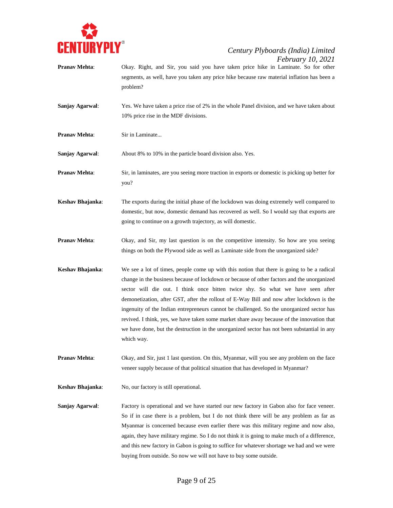

- **Pranav Mehta**: Okay. Right, and Sir, you said you have taken price hike in Laminate. So for other segments, as well, have you taken any price hike because raw material inflation has been a problem?
- **Sanjay Agarwal**: Yes. We have taken a price rise of 2% in the whole Panel division, and we have taken about 10% price rise in the MDF divisions.
- **Pranav Mehta:** Sir in Laminate...

**Sanjay Agarwal:** About 8% to 10% in the particle board division also. Yes.

- **Pranav Mehta**: Sir, in laminates, are you seeing more traction in exports or domestic is picking up better for you?
- **Keshav Bhajanka**: The exports during the initial phase of the lockdown was doing extremely well compared to domestic, but now, domestic demand has recovered as well. So I would say that exports are going to continue on a growth trajectory, as will domestic.
- **Pranav Mehta**: Okay, and Sir, my last question is on the competitive intensity. So how are you seeing things on both the Plywood side as well as Laminate side from the unorganized side?
- **Keshav Bhajanka**: We see a lot of times, people come up with this notion that there is going to be a radical change in the business because of lockdown or because of other factors and the unorganized sector will die out. I think once bitten twice shy. So what we have seen after demonetization, after GST, after the rollout of E-Way Bill and now after lockdown is the ingenuity of the Indian entrepreneurs cannot be challenged. So the unorganized sector has revived. I think, yes, we have taken some market share away because of the innovation that we have done, but the destruction in the unorganized sector has not been substantial in any which way.
- **Pranav Mehta**: Okay, and Sir, just 1 last question. On this, Myanmar, will you see any problem on the face veneer supply because of that political situation that has developed in Myanmar?
- **Keshav Bhajanka**: No, our factory is still operational.
- **Sanjay Agarwal**: Factory is operational and we have started our new factory in Gabon also for face veneer. So if in case there is a problem, but I do not think there will be any problem as far as Myanmar is concerned because even earlier there was this military regime and now also, again, they have military regime. So I do not think it is going to make much of a difference, and this new factory in Gabon is going to suffice for whatever shortage we had and we were buying from outside. So now we will not have to buy some outside.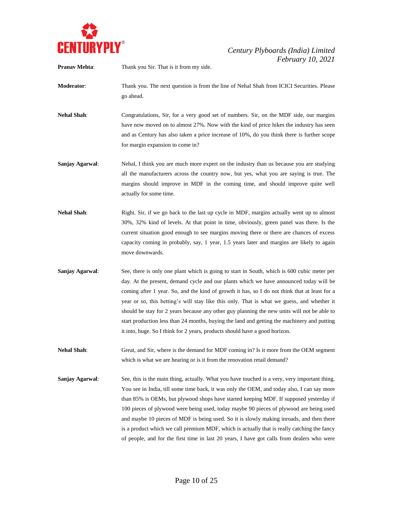

**Pranav Mehta:** Thank you Sir. That is it from my side.

- **Moderator**: Thank you. The next question is from the line of Nehal Shah from ICICI Securities. Please go ahead.
- **Nehal Shah**: Congratulations, Sir, for a very good set of numbers. Sir, on the MDF side, our margins have now moved on to almost 27%. Now with the kind of price hikes the industry has seen and as Century has also taken a price increase of 10%, do you think there is further scope for margin expansion to come in?
- **Sanjay Agarwal:** Nehal, I think you are much more expert on the industry than us because you are studying all the manufacturers across the country now, but yes, what you are saying is true. The margins should improve in MDF in the coming time, and should improve quite well actually for some time.
- **Nehal Shah**: Right. Sir, if we go back to the last up cycle in MDF, margins actually went up to almost 30%, 32% kind of levels. At that point in time, obviously, green panel was there. Is the current situation good enough to see margins moving there or there are chances of excess capacity coming in probably, say, 1 year, 1.5 years later and margins are likely to again move downwards.
- **Sanjay Agarwal**: See, there is only one plant which is going to start in South, which is 600 cubic meter per day. At the present, demand cycle and our plants which we have announced today will be coming after 1 year. So, and the kind of growth it has, so I do not think that at least for a year or so, this betting's will stay like this only. That is what we guess, and whether it should be stay for 2 years because any other guy planning the new units will not be able to start production less than 24 months, buying the land and getting the machinery and putting it into, huge. So I think for 2 years, products should have a good horizon.
- **Nehal Shah**: Great, and Sir, where is the demand for MDF coming in? Is it more from the OEM segment which is what we are hearing or is it from the renovation retail demand?
- **Sanjay Agarwal:** See, this is the main thing, actually. What you have touched is a very, very important thing. You see in India, till some time back, it was only the OEM, and today also, I can say more than 85% is OEMs, but plywood shops have started keeping MDF. If supposed yesterday if 100 pieces of plywood were being used, today maybe 90 pieces of plywood are being used and maybe 10 pieces of MDF is being used. So it is slowly making inroads, and then there is a product which we call premium MDF, which is actually that is really catching the fancy of people, and for the first time in last 20 years, I have got calls from dealers who were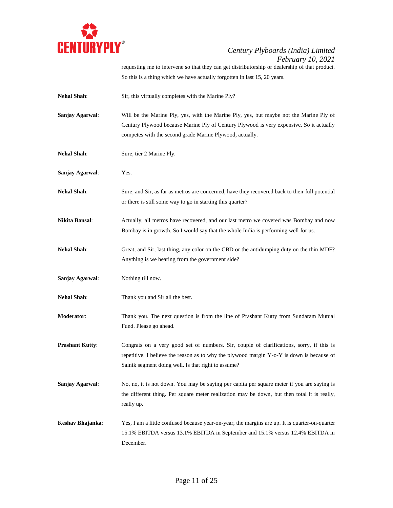

requesting me to intervene so that they can get distributorship or dealership of that product. So this is a thing which we have actually forgotten in last 15, 20 years.

**Nehal Shah**: Sir, this virtually completes with the Marine Ply?

**Sanjay Agarwal**: Will be the Marine Ply, yes, with the Marine Ply, yes, but maybe not the Marine Ply of Century Plywood because Marine Ply of Century Plywood is very expensive. So it actually competes with the second grade Marine Plywood, actually.

**Nehal Shah**: Sure, tier 2 Marine Ply.

- **Sanjay Agarwal**: Yes.
- **Nehal Shah**: Sure, and Sir, as far as metros are concerned, have they recovered back to their full potential or there is still some way to go in starting this quarter?
- **Nikita Bansal:** Actually, all metros have recovered, and our last metro we covered was Bombay and now Bombay is in growth. So I would say that the whole India is performing well for us.
- **Nehal Shah**: Great, and Sir, last thing, any color on the CBD or the antidumping duty on the thin MDF? Anything is we hearing from the government side?
- **Sanjay Agarwal**: Nothing till now.
- **Nehal Shah**: Thank you and Sir all the best.
- **Moderator**: Thank you. The next question is from the line of Prashant Kutty from Sundaram Mutual Fund. Please go ahead.
- **Prashant Kutty:** Congrats on a very good set of numbers. Sir, couple of clarifications, sorry, if this is repetitive. I believe the reason as to why the plywood margin Y-o-Y is down is because of Sainik segment doing well. Is that right to assume?
- **Sanjay Agarwal:** No, no, it is not down. You may be saying per capita per square meter if you are saying is the different thing. Per square meter realization may be down, but then total it is really, really up.
- **Keshav Bhajanka**: Yes, I am a little confused because year-on-year, the margins are up. It is quarter-on-quarter 15.1% EBITDA versus 13.1% EBITDA in September and 15.1% versus 12.4% EBITDA in December.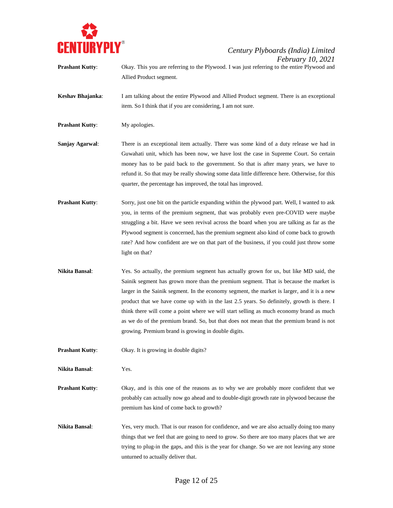

**Prashant Kutty:** Okay. This you are referring to the Plywood. I was just referring to the entire Plywood and Allied Product segment.

**Keshav Bhajanka**: I am talking about the entire Plywood and Allied Product segment. There is an exceptional item. So I think that if you are considering, I am not sure.

- **Prashant Kutty:** My apologies.
- **Sanjay Agarwal**: There is an exceptional item actually. There was some kind of a duty release we had in Guwahati unit, which has been now, we have lost the case in Supreme Court. So certain money has to be paid back to the government. So that is after many years, we have to refund it. So that may be really showing some data little difference here. Otherwise, for this quarter, the percentage has improved, the total has improved.
- **Prashant Kutty:** Sorry, just one bit on the particle expanding within the plywood part. Well, I wanted to ask you, in terms of the premium segment, that was probably even pre-COVID were maybe struggling a bit. Have we seen revival across the board when you are talking as far as the Plywood segment is concerned, has the premium segment also kind of come back to growth rate? And how confident are we on that part of the business, if you could just throw some light on that?
- **Nikita Bansal**: Yes. So actually, the premium segment has actually grown for us, but like MD said, the Sainik segment has grown more than the premium segment. That is because the market is larger in the Sainik segment. In the economy segment, the market is larger, and it is a new product that we have come up with in the last 2.5 years. So definitely, growth is there. I think there will come a point where we will start selling as much economy brand as much as we do of the premium brand. So, but that does not mean that the premium brand is not growing. Premium brand is growing in double digits.
- **Prashant Kutty:** Okay. It is growing in double digits?
- **Nikita Bansal**: Yes.
- **Prashant Kutty:** Okay, and is this one of the reasons as to why we are probably more confident that we probably can actually now go ahead and to double-digit growth rate in plywood because the premium has kind of come back to growth?
- **Nikita Bansal**: Yes, very much. That is our reason for confidence, and we are also actually doing too many things that we feel that are going to need to grow. So there are too many places that we are trying to plug-in the gaps, and this is the year for change. So we are not leaving any stone unturned to actually deliver that.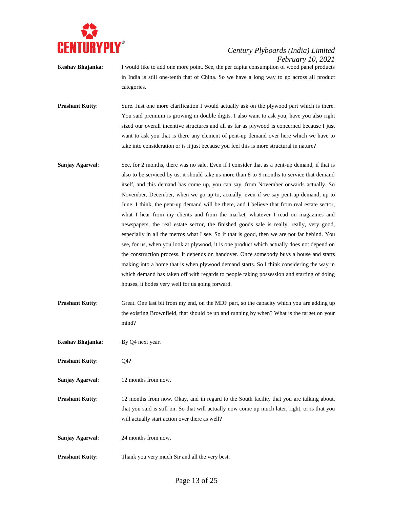

- **Keshav Bhajanka**: I would like to add one more point. See, the per capita consumption of wood panel products in India is still one-tenth that of China. So we have a long way to go across all product categories.
- **Prashant Kutty:** Sure. Just one more clarification I would actually ask on the plywood part which is there. You said premium is growing in double digits. I also want to ask you, have you also right sized our overall incentive structures and all as far as plywood is concerned because I just want to ask you that is there any element of pent-up demand over here which we have to take into consideration or is it just because you feel this is more structural in nature?
- **Sanjay Agarwal:** See, for 2 months, there was no sale. Even if I consider that as a pent-up demand, if that is also to be serviced by us, it should take us more than 8 to 9 months to service that demand itself, and this demand has come up, you can say, from November onwards actually. So November, December, when we go up to, actually, even if we say pent-up demand, up to June, I think, the pent-up demand will be there, and I believe that from real estate sector, what I hear from my clients and from the market, whatever I read on magazines and newspapers, the real estate sector, the finished goods sale is really, really, very good, especially in all the metros what I see. So if that is good, then we are not far behind. You see, for us, when you look at plywood, it is one product which actually does not depend on the construction process. It depends on handover. Once somebody buys a house and starts making into a home that is when plywood demand starts. So I think considering the way in which demand has taken off with regards to people taking possession and starting of doing houses, it bodes very well for us going forward.
- **Prashant Kutty:** Great. One last bit from my end, on the MDF part, so the capacity which you are adding up the existing Brownfield, that should be up and running by when? What is the target on your mind?
- **Keshav Bhajanka**: By Q4 next year.
- **Prashant Kutty:**  $Q4$ ?
- **Sanjay Agarwal:** 12 months from now.
- **Prashant Kutty**: 12 months from now. Okay, and in regard to the South facility that you are talking about, that you said is still on. So that will actually now come up much later, right, or is that you will actually start action over there as well?
- **Sanjay Agarwal**: 24 months from now.
- **Prashant Kutty:** Thank you very much Sir and all the very best.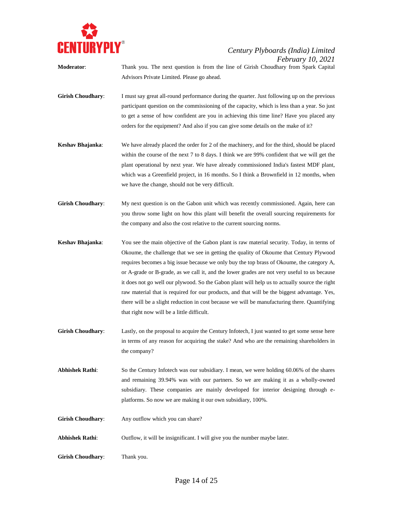

- **Moderator**: Thank you. The next question is from the line of Girish Choudhary from Spark Capital Advisors Private Limited. Please go ahead.
- **Girish Choudhary:** I must say great all-round performance during the quarter. Just following up on the previous participant question on the commissioning of the capacity, which is less than a year. So just to get a sense of how confident are you in achieving this time line? Have you placed any orders for the equipment? And also if you can give some details on the make of it?
- **Keshav Bhajanka**: We have already placed the order for 2 of the machinery, and for the third, should be placed within the course of the next 7 to 8 days. I think we are 99% confident that we will get the plant operational by next year. We have already commissioned India's fastest MDF plant, which was a Greenfield project, in 16 months. So I think a Brownfield in 12 months, when we have the change, should not be very difficult.
- **Girish Choudhary:** My next question is on the Gabon unit which was recently commissioned. Again, here can you throw some light on how this plant will benefit the overall sourcing requirements for the company and also the cost relative to the current sourcing norms.
- **Keshav Bhajanka**: You see the main objective of the Gabon plant is raw material security. Today, in terms of Okoume, the challenge that we see in getting the quality of Okoume that Century Plywood requires becomes a big issue because we only buy the top brass of Okoume, the category A, or A-grade or B-grade, as we call it, and the lower grades are not very useful to us because it does not go well our plywood. So the Gabon plant will help us to actually source the right raw material that is required for our products, and that will be the biggest advantage. Yes, there will be a slight reduction in cost because we will be manufacturing there. Quantifying that right now will be a little difficult.
- **Girish Choudhary:** Lastly, on the proposal to acquire the Century Infotech, I just wanted to get some sense here in terms of any reason for acquiring the stake? And who are the remaining shareholders in the company?
- **Abhishek Rathi**: So the Century Infotech was our subsidiary. I mean, we were holding 60.06% of the shares and remaining 39.94% was with our partners. So we are making it as a wholly-owned subsidiary. These companies are mainly developed for interior designing through eplatforms. So now we are making it our own subsidiary, 100%.
- Girish Choudhary: Any outflow which you can share?
- **Abhishek Rathi**: Outflow, it will be insignificant. I will give you the number maybe later.
- **Girish Choudhary**: Thank you.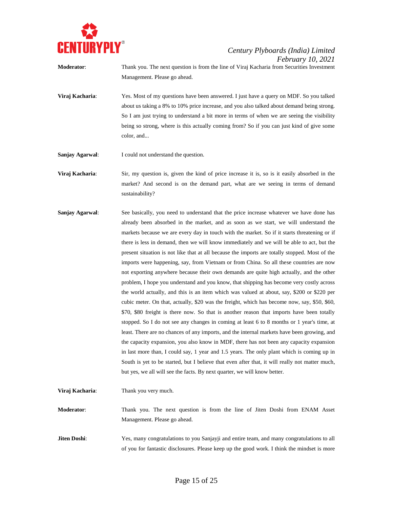

- **Moderator**: Thank you. The next question is from the line of Viraj Kacharia from Securities Investment Management. Please go ahead.
- **Viraj Kacharia:** Yes. Most of my questions have been answered. I just have a query on MDF. So you talked about us taking a 8% to 10% price increase, and you also talked about demand being strong. So I am just trying to understand a bit more in terms of when we are seeing the visibility being so strong, where is this actually coming from? So if you can just kind of give some color, and...
- **Sanjay Agarwal:** I could not understand the question.
- **Viraj Kacharia:** Sir, my question is, given the kind of price increase it is, so is it easily absorbed in the market? And second is on the demand part, what are we seeing in terms of demand sustainability?
- **Sanjay Agarwal:** See basically, you need to understand that the price increase whatever we have done has already been absorbed in the market, and as soon as we start, we will understand the markets because we are every day in touch with the market. So if it starts threatening or if there is less in demand, then we will know immediately and we will be able to act, but the present situation is not like that at all because the imports are totally stopped. Most of the imports were happening, say, from Vietnam or from China. So all these countries are now not exporting anywhere because their own demands are quite high actually, and the other problem, I hope you understand and you know, that shipping has become very costly across the world actually, and this is an item which was valued at about, say, \$200 or \$220 per cubic meter. On that, actually, \$20 was the freight, which has become now, say, \$50, \$60, \$70, \$80 freight is there now. So that is another reason that imports have been totally stopped. So I do not see any changes in coming at least 6 to 8 months or 1 year's time, at least. There are no chances of any imports, and the internal markets have been growing, and the capacity expansion, you also know in MDF, there has not been any capacity expansion in last more than, I could say, 1 year and 1.5 years. The only plant which is coming up in South is yet to be started, but I believe that even after that, it will really not matter much, but yes, we all will see the facts. By next quarter, we will know better.
- **Viraj Kacharia:** Thank you very much. **Moderator**: Thank you. The next question is from the line of Jiten Doshi from ENAM Asset Management. Please go ahead. **Jiten Doshi:** Yes, many congratulations to you Sanjayji and entire team, and many congratulations to all of you for fantastic disclosures. Please keep up the good work. I think the mindset is more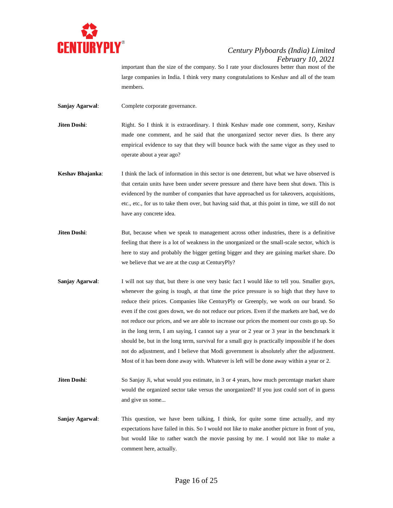

important than the size of the company. So I rate your disclosures better than most of the large companies in India. I think very many congratulations to Keshav and all of the team members.

- **Sanjay Agarwal**: Complete corporate governance.
- **Jiten Doshi**: Right. So I think it is extraordinary. I think Keshav made one comment, sorry, Keshav made one comment, and he said that the unorganized sector never dies. Is there any empirical evidence to say that they will bounce back with the same vigor as they used to operate about a year ago?
- **Keshav Bhajanka**: I think the lack of information in this sector is one deterrent, but what we have observed is that certain units have been under severe pressure and there have been shut down. This is evidenced by the number of companies that have approached us for takeovers, acquisitions, etc., etc., for us to take them over, but having said that, at this point in time, we still do not have any concrete idea.
- **Jiten Doshi**: But, because when we speak to management across other industries, there is a definitive feeling that there is a lot of weakness in the unorganized or the small-scale sector, which is here to stay and probably the bigger getting bigger and they are gaining market share. Do we believe that we are at the cusp at CenturyPly?
- **Sanjay Agarwal:** I will not say that, but there is one very basic fact I would like to tell you. Smaller guys, whenever the going is tough, at that time the price pressure is so high that they have to reduce their prices. Companies like CenturyPly or Greenply, we work on our brand. So even if the cost goes down, we do not reduce our prices. Even if the markets are bad, we do not reduce our prices, and we are able to increase our prices the moment our costs go up. So in the long term, I am saying, I cannot say a year or 2 year or 3 year in the benchmark it should be, but in the long term, survival for a small guy is practically impossible if he does not do adjustment, and I believe that Modi government is absolutely after the adjustment. Most of it has been done away with. Whatever is left will be done away within a year or 2.
- **Jiten Doshi**: So Sanjay Ji, what would you estimate, in 3 or 4 years, how much percentage market share would the organized sector take versus the unorganized? If you just could sort of in guess and give us some...
- **Sanjay Agarwal:** This question, we have been talking, I think, for quite some time actually, and my expectations have failed in this. So I would not like to make another picture in front of you, but would like to rather watch the movie passing by me. I would not like to make a comment here, actually.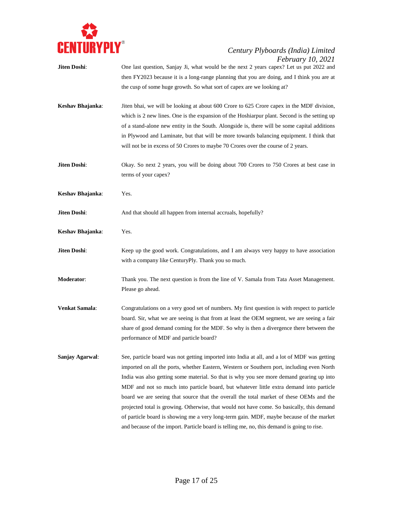

**Jiten Doshi:** One last question, Sanjay Ji, what would be the next 2 years capex? Let us put 2022 and then FY2023 because it is a long-range planning that you are doing, and I think you are at the cusp of some huge growth. So what sort of capex are we looking at? **Keshav Bhajanka**: Jiten bhai, we will be looking at about 600 Crore to 625 Crore capex in the MDF division, which is 2 new lines. One is the expansion of the Hoshiarpur plant. Second is the setting up of a stand-alone new entity in the South. Alongside is, there will be some capital additions in Plywood and Laminate, but that will be more towards balancing equipment. I think that will not be in excess of 50 Crores to maybe 70 Crores over the course of 2 years. **Jiten Doshi:** Okay. So next 2 years, you will be doing about 700 Crores to 750 Crores at best case in terms of your capex? **Keshav Bhajanka**: Yes. **Jiten Doshi**: And that should all happen from internal accruals, hopefully? **Keshav Bhajanka**: Yes. **Jiten Doshi**: Keep up the good work. Congratulations, and I am always very happy to have association with a company like CenturyPly. Thank you so much. **Moderator:** Thank you. The next question is from the line of V. Samala from Tata Asset Management. Please go ahead. **Venkat Samala**: Congratulations on a very good set of numbers. My first question is with respect to particle board. Sir, what we are seeing is that from at least the OEM segment, we are seeing a fair share of good demand coming for the MDF. So why is then a divergence there between the performance of MDF and particle board? **Sanjay Agarwal:** See, particle board was not getting imported into India at all, and a lot of MDF was getting imported on all the ports, whether Eastern, Western or Southern port, including even North India was also getting some material. So that is why you see more demand gearing up into MDF and not so much into particle board, but whatever little extra demand into particle board we are seeing that source that the overall the total market of these OEMs and the projected total is growing. Otherwise, that would not have come. So basically, this demand of particle board is showing me a very long-term gain. MDF, maybe because of the market and because of the import. Particle board is telling me, no, this demand is going to rise.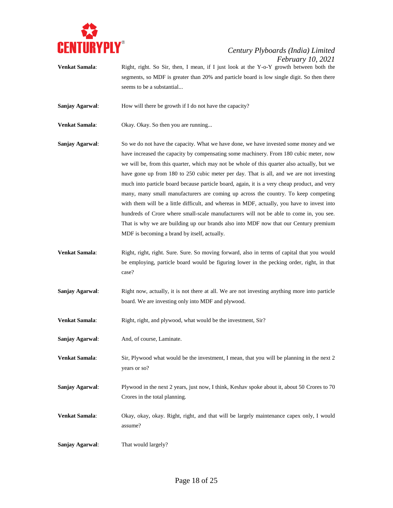

**Venkat Samala:** Right, right. So Sir, then, I mean, if I just look at the Y-o-Y growth between both the segments, so MDF is greater than 20% and particle board is low single digit. So then there seems to be a substantial...

**Sanjay Agarwal:** How will there be growth if I do not have the capacity?

- **Venkat Samala:** Okay. Okay. So then you are running...
- **Sanjay Agarwal:** So we do not have the capacity. What we have done, we have invested some money and we have increased the capacity by compensating some machinery. From 180 cubic meter, now we will be, from this quarter, which may not be whole of this quarter also actually, but we have gone up from 180 to 250 cubic meter per day. That is all, and we are not investing much into particle board because particle board, again, it is a very cheap product, and very many, many small manufacturers are coming up across the country. To keep competing with them will be a little difficult, and whereas in MDF, actually, you have to invest into hundreds of Crore where small-scale manufacturers will not be able to come in, you see. That is why we are building up our brands also into MDF now that our Century premium MDF is becoming a brand by itself, actually.
- **Venkat Samala**: Right, right, right. Sure. Sure. So moving forward, also in terms of capital that you would be employing, particle board would be figuring lower in the pecking order, right, in that case?
- **Sanjay Agarwal:** Right now, actually, it is not there at all. We are not investing anything more into particle board. We are investing only into MDF and plywood.
- **Venkat Samala:** Right, right, and plywood, what would be the investment, Sir?
- **Sanjay Agarwal**: And, of course, Laminate.
- **Venkat Samala:** Sir, Plywood what would be the investment, I mean, that you will be planning in the next 2 years or so?
- **Sanjay Agarwal:** Plywood in the next 2 years, just now, I think, Keshav spoke about it, about 50 Crores to 70 Crores in the total planning.
- **Venkat Samala**: Okay, okay, okay. Right, right, and that will be largely maintenance capex only, I would assume?
- **Sanjay Agarwal**: That would largely?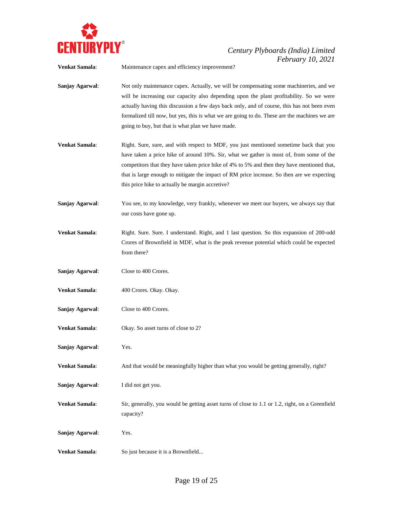

**Venkat Samala**: Maintenance capex and efficiency improvement?

- **Sanjay Agarwal:** Not only maintenance capex. Actually, we will be compensating some machineries, and we will be increasing our capacity also depending upon the plant profitability. So we were actually having this discussion a few days back only, and of course, this has not been even formalized till now, but yes, this is what we are going to do. These are the machines we are going to buy, but that is what plan we have made.
- **Venkat Samala**: Right. Sure, sure, and with respect to MDF, you just mentioned sometime back that you have taken a price hike of around 10%. Sir, what we gather is most of, from some of the competitors that they have taken price hike of 4% to 5% and then they have mentioned that, that is large enough to mitigate the impact of RM price increase. So then are we expecting this price hike to actually be margin accretive?
- **Sanjay Agarwal**: You see, to my knowledge, very frankly, whenever we meet our buyers, we always say that our costs have gone up.
- **Venkat Samala**: Right. Sure. Sure. I understand. Right, and 1 last question. So this expansion of 200-odd Crores of Brownfield in MDF, what is the peak revenue potential which could be expected from there?
- **Sanjay Agarwal**: Close to 400 Crores.
- **Venkat Samala**: 400 Crores. Okay. Okay.
- **Sanjay Agarwal**: Close to 400 Crores.
- **Venkat Samala**: Okay. So asset turns of close to 2?
- **Sanjay Agarwal**: Yes.
- **Venkat Samala:** And that would be meaningfully higher than what you would be getting generally, right?
- **Sanjay Agarwal:** I did not get you.
- **Venkat Samala**: Sir, generally, you would be getting asset turns of close to 1.1 or 1.2, right, on a Greenfield capacity?
- **Sanjay Agarwal**: Yes.
- **Venkat Samala**: So just because it is a Brownfield...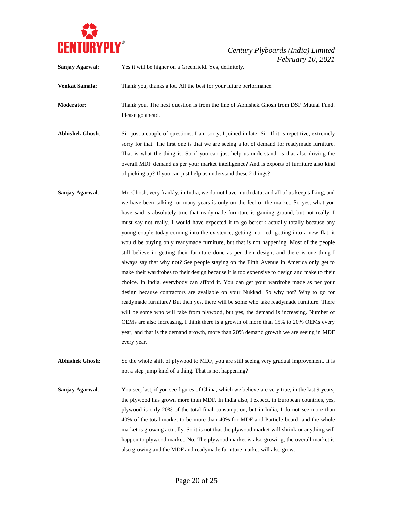

**Sanjay Agarwal**: Yes it will be higher on a Greenfield. Yes, definitely.

**Venkat Samala:** Thank you, thanks a lot. All the best for your future performance.

**Moderator**: Thank you. The next question is from the line of Abhishek Ghosh from DSP Mutual Fund. Please go ahead.

- **Abhishek Ghosh**: Sir, just a couple of questions. I am sorry, I joined in late, Sir. If it is repetitive, extremely sorry for that. The first one is that we are seeing a lot of demand for readymade furniture. That is what the thing is. So if you can just help us understand, is that also driving the overall MDF demand as per your market intelligence? And is exports of furniture also kind of picking up? If you can just help us understand these 2 things?
- **Sanjay Agarwal:** Mr. Ghosh, very frankly, in India, we do not have much data, and all of us keep talking, and we have been talking for many years is only on the feel of the market. So yes, what you have said is absolutely true that readymade furniture is gaining ground, but not really, I must say not really. I would have expected it to go berserk actually totally because any young couple today coming into the existence, getting married, getting into a new flat, it would be buying only readymade furniture, but that is not happening. Most of the people still believe in getting their furniture done as per their design, and there is one thing I always say that why not? See people staying on the Fifth Avenue in America only get to make their wardrobes to their design because it is too expensive to design and make to their choice. In India, everybody can afford it. You can get your wardrobe made as per your design because contractors are available on your Nukkad. So why not? Why to go for readymade furniture? But then yes, there will be some who take readymade furniture. There will be some who will take from plywood, but yes, the demand is increasing. Number of OEMs are also increasing. I think there is a growth of more than 15% to 20% OEMs every year, and that is the demand growth, more than 20% demand growth we are seeing in MDF every year.
- **Abhishek Ghosh:** So the whole shift of plywood to MDF, you are still seeing very gradual improvement. It is not a step jump kind of a thing. That is not happening?
- **Sanjay Agarwal:** You see, last, if you see figures of China, which we believe are very true, in the last 9 years, the plywood has grown more than MDF. In India also, I expect, in European countries, yes, plywood is only 20% of the total final consumption, but in India, I do not see more than 40% of the total market to be more than 40% for MDF and Particle board, and the whole market is growing actually. So it is not that the plywood market will shrink or anything will happen to plywood market. No. The plywood market is also growing, the overall market is also growing and the MDF and readymade furniture market will also grow.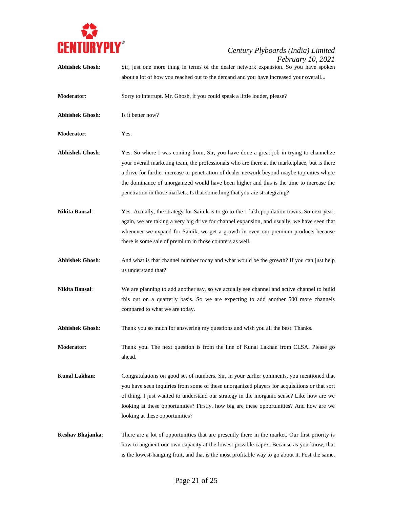

#### *Century Plyboards (India) Limited February 10, 2021* **Abhishek Ghosh**: Sir, just one more thing in terms of the dealer network expansion. So you have spoken

about a lot of how you reached out to the demand and you have increased your overall... **Moderator:** Sorry to interrupt. Mr. Ghosh, if you could speak a little louder, please? **Abhishek Ghosh**: Is it better now? **Moderator**: Yes. **Abhishek Ghosh**: Yes. So where I was coming from, Sir, you have done a great job in trying to channelize your overall marketing team, the professionals who are there at the marketplace, but is there a drive for further increase or penetration of dealer network beyond maybe top cities where the dominance of unorganized would have been higher and this is the time to increase the penetration in those markets. Is that something that you are strategizing? **Nikita Bansal**: Yes. Actually, the strategy for Sainik is to go to the 1 lakh population towns. So next year, again, we are taking a very big drive for channel expansion, and usually, we have seen that whenever we expand for Sainik, we get a growth in even our premium products because there is some sale of premium in those counters as well. **Abhishek Ghosh**: And what is that channel number today and what would be the growth? If you can just help us understand that? **Nikita Bansal**: We are planning to add another say, so we actually see channel and active channel to build this out on a quarterly basis. So we are expecting to add another 500 more channels compared to what we are today. **Abhishek Ghosh**: Thank you so much for answering my questions and wish you all the best. Thanks. **Moderator:** Thank you. The next question is from the line of Kunal Lakhan from CLSA. Please go ahead. **Kunal Lakhan**: Congratulations on good set of numbers. Sir, in your earlier comments, you mentioned that you have seen inquiries from some of these unorganized players for acquisitions or that sort of thing. I just wanted to understand our strategy in the inorganic sense? Like how are we looking at these opportunities? Firstly, how big are these opportunities? And how are we looking at these opportunities? **Keshav Bhajanka**: There are a lot of opportunities that are presently there in the market. Our first priority is how to augment our own capacity at the lowest possible capex. Because as you know, that is the lowest-hanging fruit, and that is the most profitable way to go about it. Post the same,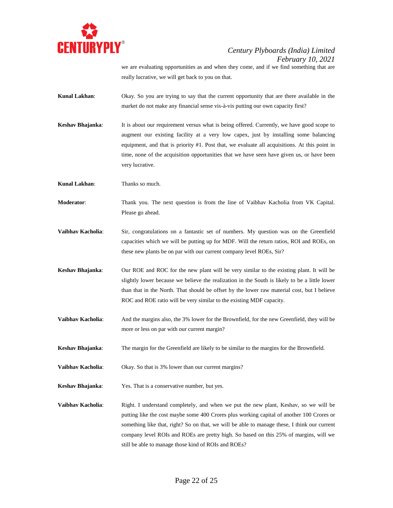

we are evaluating opportunities as and when they come, and if we find something that are really lucrative, we will get back to you on that.

- **Kunal Lakhan**: Okay. So you are trying to say that the current opportunity that are there available in the market do not make any financial sense vis-à-vis putting our own capacity first?
- **Keshav Bhajanka:** It is about our requirement versus what is being offered. Currently, we have good scope to augment our existing facility at a very low capex, just by installing some balancing equipment, and that is priority #1. Post that, we evaluate all acquisitions. At this point in time, none of the acquisition opportunities that we have seen have given us, or have been very lucrative.
- **Kunal Lakhan:** Thanks so much.

**Moderator**: Thank you. The next question is from the line of Vaibhav Kacholia from VK Capital. Please go ahead.

- **Vaibhav Kacholia**: Sir, congratulations on a fantastic set of numbers. My question was on the Greenfield capacities which we will be putting up for MDF. Will the return ratios, ROI and ROEs, on these new plants be on par with our current company level ROEs, Sir?
- **Keshav Bhajanka**: Our ROE and ROC for the new plant will be very similar to the existing plant. It will be slightly lower because we believe the realization in the South is likely to be a little lower than that in the North. That should be offset by the lower raw material cost, but I believe ROC and ROE ratio will be very similar to the existing MDF capacity.
- **Vaibhav Kacholia**: And the margins also, the 3% lower for the Brownfield, for the new Greenfield, they will be more or less on par with our current margin?
- **Keshav Bhajanka**: The margin for the Greenfield are likely to be similar to the margins for the Brownfield.
- **Vaibhav Kacholia**: Okay. So that is 3% lower than our current margins?
- **Keshav Bhajanka**: Yes. That is a conservative number, but yes.
- Vaibhav Kacholia: Right. I understand completely, and when we put the new plant, Keshav, so we will be putting like the cost maybe some 400 Crores plus working capital of another 100 Crores or something like that, right? So on that, we will be able to manage these, I think our current company level ROIs and ROEs are pretty high. So based on this 25% of margins, will we still be able to manage those kind of ROIs and ROEs?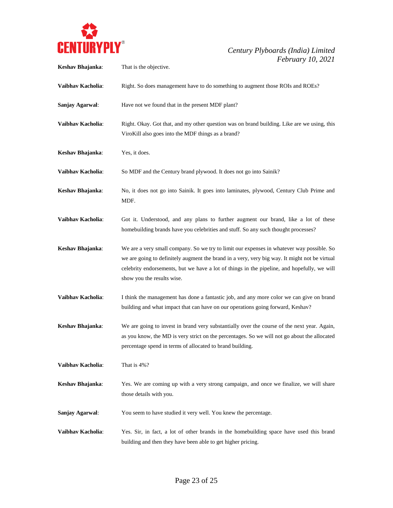

| Keshav Bhajanka:  | That is the objective.                                                                                                                                                                                                                                                                                                  |  |
|-------------------|-------------------------------------------------------------------------------------------------------------------------------------------------------------------------------------------------------------------------------------------------------------------------------------------------------------------------|--|
| Vaibhav Kacholia: | Right. So does management have to do something to augment those ROIs and ROEs?                                                                                                                                                                                                                                          |  |
| Sanjay Agarwal:   | Have not we found that in the present MDF plant?                                                                                                                                                                                                                                                                        |  |
| Vaibhav Kacholia: | Right. Okay. Got that, and my other question was on brand building. Like are we using, this<br>ViroKill also goes into the MDF things as a brand?                                                                                                                                                                       |  |
| Keshav Bhajanka:  | Yes, it does.                                                                                                                                                                                                                                                                                                           |  |
| Vaibhav Kacholia: | So MDF and the Century brand plywood. It does not go into Sainik?                                                                                                                                                                                                                                                       |  |
| Keshav Bhajanka:  | No, it does not go into Sainik. It goes into laminates, plywood, Century Club Prime and<br>MDF.                                                                                                                                                                                                                         |  |
| Vaibhav Kacholia: | Got it. Understood, and any plans to further augment our brand, like a lot of these<br>homebuilding brands have you celebrities and stuff. So any such thought processes?                                                                                                                                               |  |
| Keshav Bhajanka:  | We are a very small company. So we try to limit our expenses in whatever way possible. So<br>we are going to definitely augment the brand in a very, very big way. It might not be virtual<br>celebrity endorsements, but we have a lot of things in the pipeline, and hopefully, we will<br>show you the results wise. |  |
| Vaibhav Kacholia: | I think the management has done a fantastic job, and any more color we can give on brand<br>building and what impact that can have on our operations going forward, Keshav?                                                                                                                                             |  |
| Keshav Bhajanka:  | We are going to invest in brand very substantially over the course of the next year. Again,<br>as you know, the MD is very strict on the percentages. So we will not go about the allocated<br>percentage spend in terms of allocated to brand building.                                                                |  |
| Vaibhav Kacholia: | That is 4%?                                                                                                                                                                                                                                                                                                             |  |
| Keshav Bhajanka:  | Yes. We are coming up with a very strong campaign, and once we finalize, we will share<br>those details with you.                                                                                                                                                                                                       |  |
| Sanjay Agarwal:   | You seem to have studied it very well. You knew the percentage.                                                                                                                                                                                                                                                         |  |
| Vaibhav Kacholia: | Yes. Sir, in fact, a lot of other brands in the homebuilding space have used this brand<br>building and then they have been able to get higher pricing.                                                                                                                                                                 |  |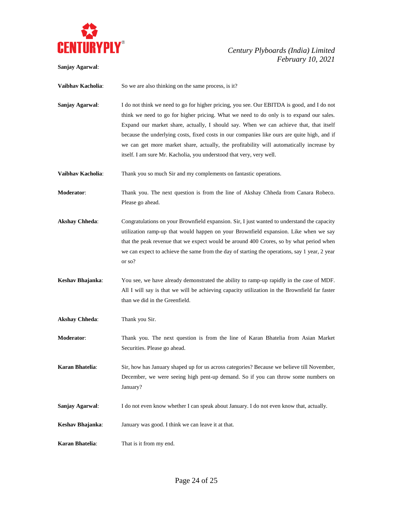

**Sanjay Agarwal**:

## *Century Plyboards (India) Limited February 10, 2021*

**Vaibhav Kacholia:** So we are also thinking on the same process, is it?

**Sanjay Agarwal**: I do not think we need to go for higher pricing, you see. Our EBITDA is good, and I do not think we need to go for higher pricing. What we need to do only is to expand our sales. Expand our market share, actually, I should say. When we can achieve that, that itself because the underlying costs, fixed costs in our companies like ours are quite high, and if we can get more market share, actually, the profitability will automatically increase by itself. I am sure Mr. Kacholia, you understood that very, very well.

**Vaibhav Kacholia**: Thank you so much Sir and my complements on fantastic operations.

**Moderator**: Thank you. The next question is from the line of Akshay Chheda from Canara Robeco. Please go ahead.

- Akshay Chheda: Congratulations on your Brownfield expansion. Sir, I just wanted to understand the capacity utilization ramp-up that would happen on your Brownfield expansion. Like when we say that the peak revenue that we expect would be around 400 Crores, so by what period when we can expect to achieve the same from the day of starting the operations, say 1 year, 2 year or so?
- **Keshav Bhajanka**: You see, we have already demonstrated the ability to ramp-up rapidly in the case of MDF. All I will say is that we will be achieving capacity utilization in the Brownfield far faster than we did in the Greenfield.

**Akshay Chheda**: Thank you Sir.

**Moderator**: Thank you. The next question is from the line of Karan Bhatelia from Asian Market Securities. Please go ahead.

**Karan Bhatelia**: Sir, how has January shaped up for us across categories? Because we believe till November, December, we were seeing high pent-up demand. So if you can throw some numbers on January?

- **Sanjay Agarwal:** I do not even know whether I can speak about January. I do not even know that, actually.
- **Keshav Bhajanka**: January was good. I think we can leave it at that.
- **Karan Bhatelia**: That is it from my end.